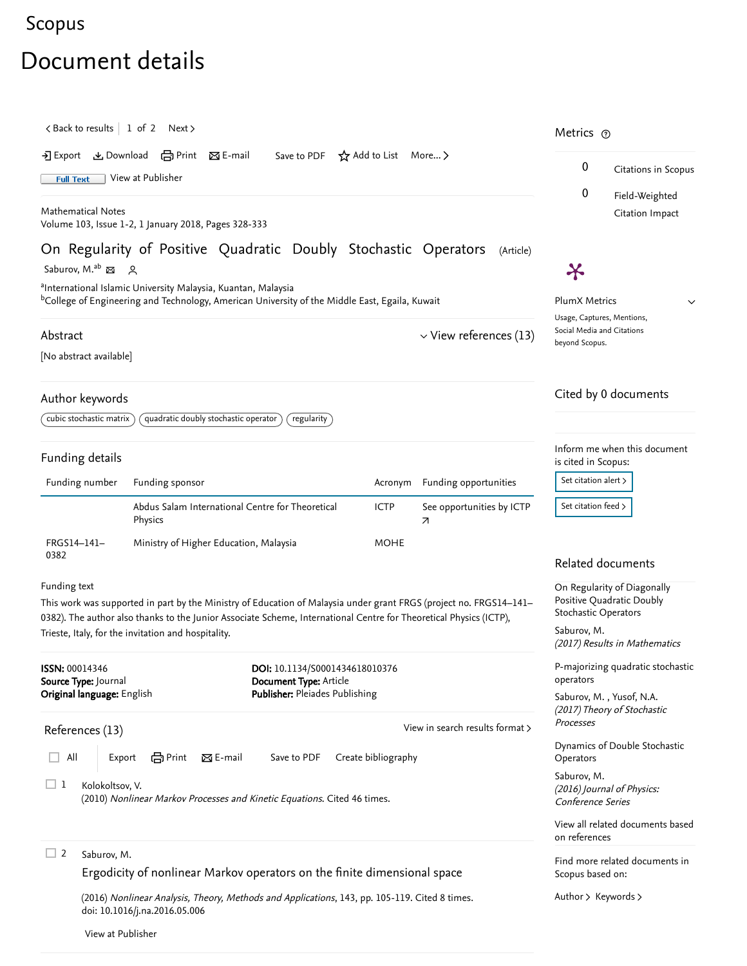## [Scopus](https://www.scopus.com/home.uri?zone=header&origin=searchbasic)

# Document details

<span id="page-0-0"></span>

| <back 1="" 2="" next="" of="" results="" to=""><br/>• Export と Download (금 Print 区 E-mail<br/>Save to PDF <math>\lambda</math> Add to List More &gt;<br/>View at Publisher<br/><b>Full Text</b><br/><b>Mathematical Notes</b><br/>Volume 103, Issue 1-2, 1 January 2018, Pages 328-333</back> |                                                                                                                                |                                                                                                                                                                                                                                                                                                 |                                                                                            |                                 |                                              | Metrics ®<br>0<br>Citations in Scopus<br>0<br>Field-Weighted                              |  |
|-----------------------------------------------------------------------------------------------------------------------------------------------------------------------------------------------------------------------------------------------------------------------------------------------|--------------------------------------------------------------------------------------------------------------------------------|-------------------------------------------------------------------------------------------------------------------------------------------------------------------------------------------------------------------------------------------------------------------------------------------------|--------------------------------------------------------------------------------------------|---------------------------------|----------------------------------------------|-------------------------------------------------------------------------------------------|--|
|                                                                                                                                                                                                                                                                                               |                                                                                                                                |                                                                                                                                                                                                                                                                                                 |                                                                                            |                                 |                                              |                                                                                           |  |
|                                                                                                                                                                                                                                                                                               |                                                                                                                                |                                                                                                                                                                                                                                                                                                 |                                                                                            |                                 |                                              |                                                                                           |  |
|                                                                                                                                                                                                                                                                                               | Saburov, M. <sup>ab</sup> 접 있                                                                                                  |                                                                                                                                                                                                                                                                                                 |                                                                                            |                                 | X                                            |                                                                                           |  |
| <sup>a</sup> International Islamic University Malaysia, Kuantan, Malaysia<br><sup>b</sup> College of Engineering and Technology, American University of the Middle East, Egaila, Kuwait                                                                                                       |                                                                                                                                |                                                                                                                                                                                                                                                                                                 |                                                                                            |                                 |                                              | PlumX Metrics<br>$\checkmark$<br>Usage, Captures, Mentions,                               |  |
| Abstract                                                                                                                                                                                                                                                                                      |                                                                                                                                |                                                                                                                                                                                                                                                                                                 | $\vee$ View references (13)                                                                |                                 | Social Media and Citations<br>beyond Scopus. |                                                                                           |  |
|                                                                                                                                                                                                                                                                                               | [No abstract available]                                                                                                        |                                                                                                                                                                                                                                                                                                 |                                                                                            |                                 |                                              |                                                                                           |  |
| Author keywords                                                                                                                                                                                                                                                                               |                                                                                                                                |                                                                                                                                                                                                                                                                                                 |                                                                                            |                                 |                                              | Cited by 0 documents                                                                      |  |
|                                                                                                                                                                                                                                                                                               | cubic stochastic matrix                                                                                                        | quadratic doubly stochastic operator<br>regularity                                                                                                                                                                                                                                              |                                                                                            |                                 |                                              |                                                                                           |  |
|                                                                                                                                                                                                                                                                                               | Funding details                                                                                                                |                                                                                                                                                                                                                                                                                                 |                                                                                            |                                 | is cited in Scopus:                          | Inform me when this document                                                              |  |
| Funding number                                                                                                                                                                                                                                                                                |                                                                                                                                | Funding sponsor                                                                                                                                                                                                                                                                                 |                                                                                            | Acronym Funding opportunities   | Set citation alert >                         |                                                                                           |  |
|                                                                                                                                                                                                                                                                                               |                                                                                                                                | Abdus Salam International Centre for Theoretical<br>Physics                                                                                                                                                                                                                                     | <b>ICTP</b>                                                                                | See opportunities by ICTP<br>7  | Set citation feed $>$                        |                                                                                           |  |
| FRGS14-141-<br>0382                                                                                                                                                                                                                                                                           |                                                                                                                                | Ministry of Higher Education, Malaysia                                                                                                                                                                                                                                                          | <b>MOHE</b>                                                                                |                                 |                                              | Related documents                                                                         |  |
| Funding text                                                                                                                                                                                                                                                                                  |                                                                                                                                | This work was supported in part by the Ministry of Education of Malaysia under grant FRGS (project no. FRGS14-141-<br>0382). The author also thanks to the Junior Associate Scheme, International Centre for Theoretical Physics (ICTP),<br>Trieste, Italy, for the invitation and hospitality. |                                                                                            |                                 | Stochastic Operators<br>Saburov, M.          | On Regularity of Diagonally<br>Positive Quadratic Doubly<br>(2017) Results in Mathematics |  |
| <b>ISSN: 00014346</b>                                                                                                                                                                                                                                                                         | Source Type: Journal<br>Original language: English                                                                             |                                                                                                                                                                                                                                                                                                 | DOI: 10.1134/S0001434618010376<br>Document Type: Article<br>Publisher: Pleiades Publishing |                                 |                                              | P-majorizing quadratic stochastic<br>Saburov, M., Yusof, N.A.                             |  |
|                                                                                                                                                                                                                                                                                               | References (13)                                                                                                                |                                                                                                                                                                                                                                                                                                 |                                                                                            | View in search results format > | Processes                                    | (2017) Theory of Stochastic                                                               |  |
| ep Print<br>All<br>$\boxtimes$ E-mail<br>Save to PDF<br>Create bibliography<br>Export                                                                                                                                                                                                         |                                                                                                                                |                                                                                                                                                                                                                                                                                                 |                                                                                            |                                 | Operators                                    | Dynamics of Double Stochastic                                                             |  |
| $\sqcup$ 1<br>Kolokoltsov, V.<br>(2010) Nonlinear Markov Processes and Kinetic Equations. Cited 46 times.                                                                                                                                                                                     |                                                                                                                                |                                                                                                                                                                                                                                                                                                 |                                                                                            |                                 | Saburov, M.<br><b>Conference Series</b>      | (2016) Journal of Physics:                                                                |  |
|                                                                                                                                                                                                                                                                                               |                                                                                                                                |                                                                                                                                                                                                                                                                                                 |                                                                                            |                                 | on references                                | View all related documents based                                                          |  |
| $\Box$ 2                                                                                                                                                                                                                                                                                      | Saburov, M.<br>Ergodicity of nonlinear Markov operators on the finite dimensional space                                        |                                                                                                                                                                                                                                                                                                 |                                                                                            |                                 | Scopus based on:                             | Find more related documents in                                                            |  |
|                                                                                                                                                                                                                                                                                               | (2016) Nonlinear Analysis, Theory, Methods and Applications, 143, pp. 105-119. Cited 8 times.<br>doi: 10.1016/j.na.2016.05.006 |                                                                                                                                                                                                                                                                                                 |                                                                                            |                                 | Author > Keywords >                          |                                                                                           |  |
|                                                                                                                                                                                                                                                                                               | View at Publisher                                                                                                              |                                                                                                                                                                                                                                                                                                 |                                                                                            |                                 |                                              |                                                                                           |  |